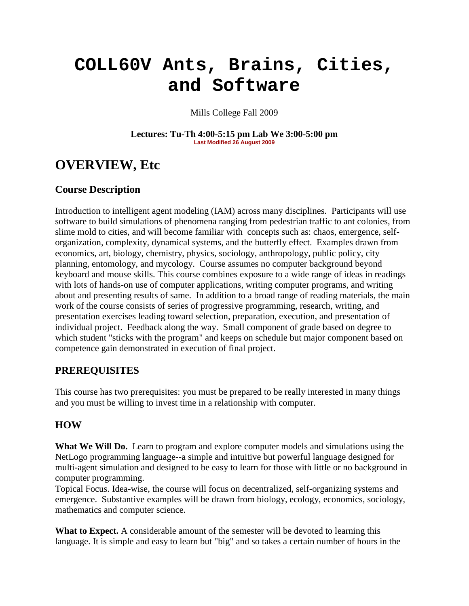# **COLL60V Ants, Brains, Cities, and Software**

Mills College Fall 2009

**Lectures: Tu-Th 4:00-5:15 pm Lab We 3:00-5:00 pm Last Modified 26 August 2009**

## **OVERVIEW, Etc**

## **Course Description**

Introduction to intelligent agent modeling (IAM) across many disciplines. Participants will use software to build simulations of phenomena ranging from pedestrian traffic to ant colonies, from slime mold to cities, and will become familiar with concepts such as: chaos, emergence, selforganization, complexity, dynamical systems, and the butterfly effect. Examples drawn from economics, art, biology, chemistry, physics, sociology, anthropology, public policy, city planning, entomology, and mycology. Course assumes no computer background beyond keyboard and mouse skills. This course combines exposure to a wide range of ideas in readings with lots of hands-on use of computer applications, writing computer programs, and writing about and presenting results of same. In addition to a broad range of reading materials, the main work of the course consists of series of progressive programming, research, writing, and presentation exercises leading toward selection, preparation, execution, and presentation of individual project. Feedback along the way. Small component of grade based on degree to which student "sticks with the program" and keeps on schedule but major component based on competence gain demonstrated in execution of final project.

## **PREREQUISITES**

This course has two prerequisites: you must be prepared to be really interested in many things and you must be willing to invest time in a relationship with computer.

## **HOW**

**What We Will Do.** Learn to program and explore computer models and simulations using the NetLogo programming language--a simple and intuitive but powerful language designed for multi-agent simulation and designed to be easy to learn for those with little or no background in computer programming.

Topical Focus. Idea-wise, the course will focus on decentralized, self-organizing systems and emergence. Substantive examples will be drawn from biology, ecology, economics, sociology, mathematics and computer science.

**What to Expect.** A considerable amount of the semester will be devoted to learning this language. It is simple and easy to learn but "big" and so takes a certain number of hours in the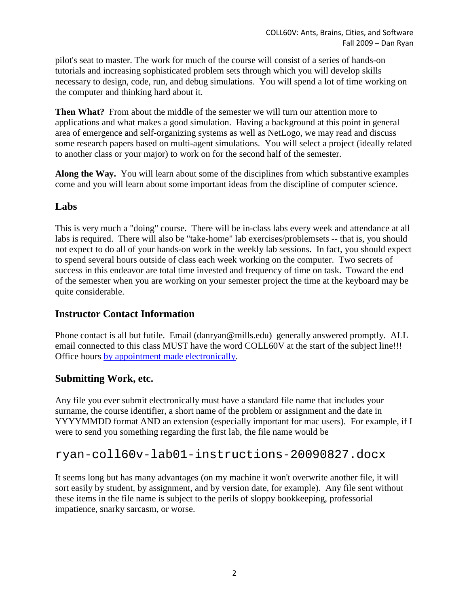pilot's seat to master. The work for much of the course will consist of a series of hands-on tutorials and increasing sophisticated problem sets through which you will develop skills necessary to design, code, run, and debug simulations. You will spend a lot of time working on the computer and thinking hard about it.

**Then What?** From about the middle of the semester we will turn our attention more to applications and what makes a good simulation. Having a background at this point in general area of emergence and self-organizing systems as well as NetLogo, we may read and discuss some research papers based on multi-agent simulations. You will select a project (ideally related to another class or your major) to work on for the second half of the semester.

**Along the Way.** You will learn about some of the disciplines from which substantive examples come and you will learn about some important ideas from the discipline of computer science.

## **Labs**

This is very much a "doing" course. There will be in-class labs every week and attendance at all labs is required. There will also be "take-home" lab exercises/problemsets -- that is, you should not expect to do all of your hands-on work in the weekly lab sessions. In fact, you should expect to spend several hours outside of class each week working on the computer. Two secrets of success in this endeavor are total time invested and frequency of time on task. Toward the end of the semester when you are working on your semester project the time at the keyboard may be quite considerable.

## **Instructor Contact Information**

Phone contact is all but futile. Email (danryan@mills.edu) generally answered promptly. ALL email connected to this class MUST have the word COLL60V at the start of the subject line!!! Office hours [by appointment made electronically.](https://email.mills.edu/owa/redir.aspx?C=3e9eb7ca3a79443faa5874df1e96586e&URL=http%3a%2f%2fwww.appointmentquest.com%2fprovider%2f2080160332)

## **Submitting Work, etc.**

Any file you ever submit electronically must have a standard file name that includes your surname, the course identifier, a short name of the problem or assignment and the date in YYYYMMDD format AND an extension (especially important for mac users). For example, if I were to send you something regarding the first lab, the file name would be

## ryan-coll60v-lab01-instructions-20090827.docx

It seems long but has many advantages (on my machine it won't overwrite another file, it will sort easily by student, by assignment, and by version date, for example). Any file sent without these items in the file name is subject to the perils of sloppy bookkeeping, professorial impatience, snarky sarcasm, or worse.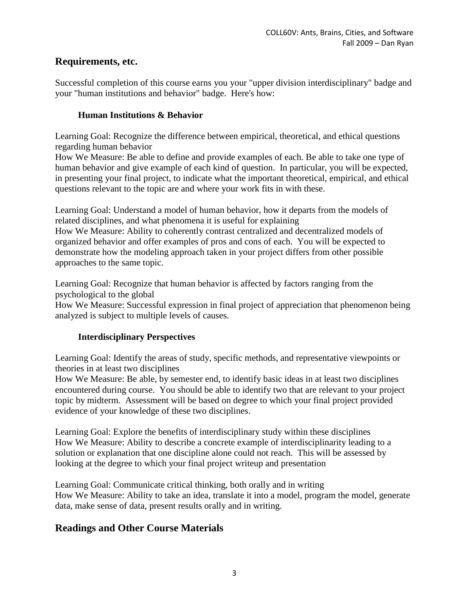## **Requirements, etc.**

Successful completion of this course earns you your "upper division interdisciplinary" badge and your "human institutions and behavior" badge. Here's how:

## **Human Institutions & Behavior**

Learning Goal: Recognize the difference between empirical, theoretical, and ethical questions regarding human behavior

How We Measure: Be able to define and provide examples of each. Be able to take one type of human behavior and give example of each kind of question. In particular, you will be expected, in presenting your final project, to indicate what the important theoretical, empirical, and ethical questions relevant to the topic are and where your work fits in with these.

Learning Goal: Understand a model of human behavior, how it departs from the models of related disciplines, and what phenomena it is useful for explaining

How We Measure: Ability to coherently contrast centralized and decentralized models of organized behavior and offer examples of pros and cons of each. You will be expected to demonstrate how the modeling approach taken in your project differs from other possible approaches to the same topic.

Learning Goal: Recognize that human behavior is affected by factors ranging from the psychological to the global

How We Measure: Successful expression in final project of appreciation that phenomenon being analyzed is subject to multiple levels of causes.

## **Interdisciplinary Perspectives**

Learning Goal: Identify the areas of study, specific methods, and representative viewpoints or theories in at least two disciplines

How We Measure: Be able, by semester end, to identify basic ideas in at least two disciplines encountered during course. You should be able to identify two that are relevant to your project topic by midterm. Assessment will be based on degree to which your final project provided evidence of your knowledge of these two disciplines.

Learning Goal: Explore the benefits of interdisciplinary study within these disciplines How We Measure: Ability to describe a concrete example of interdisciplinarity leading to a solution or explanation that one discipline alone could not reach. This will be assessed by looking at the degree to which your final project writeup and presentation

Learning Goal: Communicate critical thinking, both orally and in writing How We Measure: Ability to take an idea, translate it into a model, program the model, generate data, make sense of data, present results orally and in writing.

## **Readings and Other Course Materials**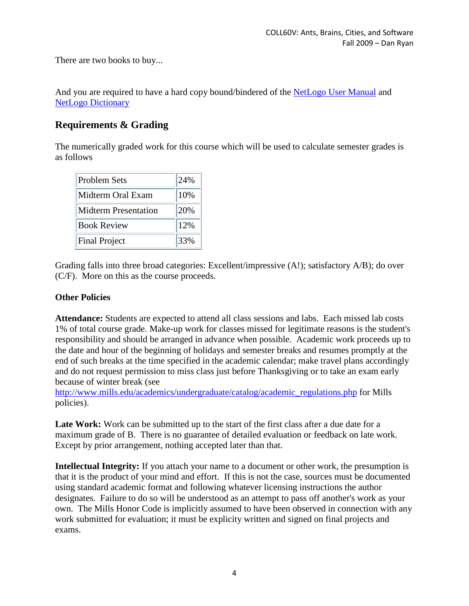There are two books to buy...

And you are required to have a hard copy bound/bindered of the [NetLogo User Manual](http://ccl.northwestern.edu/netlogo/docs/NetLogo%20User%20Manual.pdf) and [NetLogo Dictionary](http://ccl.northwestern.edu/netlogo/docs/NetLogo%20User%20Manual.pdf#page=301)

## **Requirements & Grading**

The numerically graded work for this course which will be used to calculate semester grades is as follows

| <b>Problem Sets</b>  | 24% |
|----------------------|-----|
| Midterm Oral Exam    | 10% |
| Midterm Presentation | 20% |
| <b>Book Review</b>   | 12% |
| <b>Final Project</b> | 33% |

Grading falls into three broad categories: Excellent/impressive (A!); satisfactory A/B); do over (C/F). More on this as the course proceeds.

## **Other Policies**

**Attendance:** Students are expected to attend all class sessions and labs. Each missed lab costs 1% of total course grade. Make-up work for classes missed for legitimate reasons is the student's responsibility and should be arranged in advance when possible. Academic work proceeds up to the date and hour of the beginning of holidays and semester breaks and resumes promptly at the end of such breaks at the time specified in the academic calendar; make travel plans accordingly and do not request permission to miss class just before Thanksgiving or to take an exam early because of winter break (see

[http://www.mills.edu/academics/undergraduate/catalog/academic\\_regulations.php](http://www.mills.edu/academics/undergraduate/catalog/academic_regulations.php) for Mills policies).

Late Work: Work can be submitted up to the start of the first class after a due date for a maximum grade of B. There is no guarantee of detailed evaluation or feedback on late work. Except by prior arrangement, nothing accepted later than that.

**Intellectual Integrity:** If you attach your name to a document or other work, the presumption is that it is the product of your mind and effort. If this is not the case, sources must be documented using standard academic format and following whatever licensing instructions the author designates. Failure to do so will be understood as an attempt to pass off another's work as your own. The Mills Honor Code is implicitly assumed to have been observed in connection with any work submitted for evaluation; it must be explicity written and signed on final projects and exams.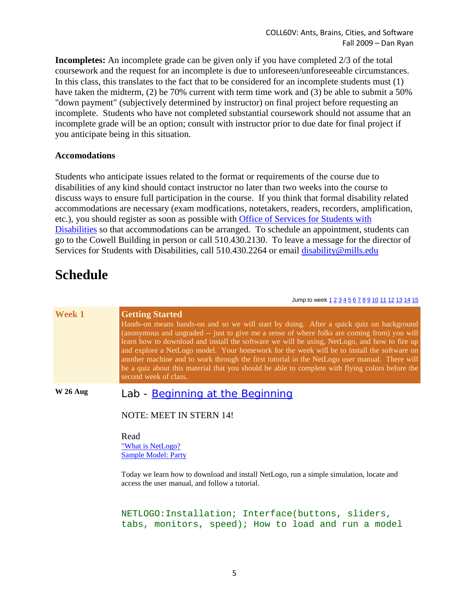**Incompletes:** An incomplete grade can be given only if you have completed 2/3 of the total coursework and the request for an incomplete is due to unforeseen/unforeseeable circumstances. In this class, this translates to the fact that to be considered for an incomplete students must (1) have taken the midterm, (2) be 70% current with term time work and (3) be able to submit a 50% "down payment" (subjectively determined by instructor) on final project before requesting an incomplete. Students who have not completed substantial coursework should not assume that an incomplete grade will be an option; consult with instructor prior to due date for final project if you anticipate being in this situation.

#### **Accomodations**

Students who anticipate issues related to the format or requirements of the course due to disabilities of any kind should contact instructor no later than two weeks into the course to discuss ways to ensure full participation in the course. If you think that formal disability related accommodations are necessary (exam modfications, notetakers, readers, recorders, amplification, etc.), you should register as soon as possible with [Office of Services for Students with](http://www.mills.edu/student_services/disability_services/index.php)  [Disabilities](http://www.mills.edu/student_services/disability_services/index.php) so that accommodations can be arranged. To schedule an appointment, students can go to the Cowell Building in person or call 510.430.2130. To leave a message for the director of Services for Students with Disabilities, call 510.430.2264 or email [disability@mills.edu](mailto:disability@mills.edu)

## **Schedule**

Jump to week  $1 2 3 4 5 6 7 8 9 10 11 12 13 14 15$  $1 2 3 4 5 6 7 8 9 10 11 12 13 14 15$  $1 2 3 4 5 6 7 8 9 10 11 12 13 14 15$  $1 2 3 4 5 6 7 8 9 10 11 12 13 14 15$  $1 2 3 4 5 6 7 8 9 10 11 12 13 14 15$  $1 2 3 4 5 6 7 8 9 10 11 12 13 14 15$  $1 2 3 4 5 6 7 8 9 10 11 12 13 14 15$  $1 2 3 4 5 6 7 8 9 10 11 12 13 14 15$  $1 2 3 4 5 6 7 8 9 10 11 12 13 14 15$  $1 2 3 4 5 6 7 8 9 10 11 12 13 14 15$  $1 2 3 4 5 6 7 8 9 10 11 12 13 14 15$  $1 2 3 4 5 6 7 8 9 10 11 12 13 14 15$  $1 2 3 4 5 6 7 8 9 10 11 12 13 14 15$  $1 2 3 4 5 6 7 8 9 10 11 12 13 14 15$  $1 2 3 4 5 6 7 8 9 10 11 12 13 14 15$  $1 2 3 4 5 6 7 8 9 10 11 12 13 14 15$  $1 2 3 4 5 6 7 8 9 10 11 12 13 14 15$  $1 2 3 4 5 6 7 8 9 10 11 12 13 14 15$  $1 2 3 4 5 6 7 8 9 10 11 12 13 14 15$  $1 2 3 4 5 6 7 8 9 10 11 12 13 14 15$  $1 2 3 4 5 6 7 8 9 10 11 12 13 14 15$  $1 2 3 4 5 6 7 8 9 10 11 12 13 14 15$  $1 2 3 4 5 6 7 8 9 10 11 12 13 14 15$  $1 2 3 4 5 6 7 8 9 10 11 12 13 14 15$  $1 2 3 4 5 6 7 8 9 10 11 12 13 14 15$  $1 2 3 4 5 6 7 8 9 10 11 12 13 14 15$  $1 2 3 4 5 6 7 8 9 10 11 12 13 14 15$  $1 2 3 4 5 6 7 8 9 10 11 12 13 14 15$ 

| Week 1    | <b>Getting Started</b><br>Hands-on means hands-on and so we will start by doing. After a quick quiz on background<br>(anonymous and ungraded -- just to give me a sense of where folks are coming from) you will<br>learn how to download and install the software we will be using, NetLogo, and how to fire up<br>and explore a NetLogo model. Your homework for the week will be to install the software on<br>another machine and to work through the first tutorial in the NetLogo user manual. There will<br>be a quiz about this material that you should be able to complete with flying colors before the<br>second week of class. |
|-----------|---------------------------------------------------------------------------------------------------------------------------------------------------------------------------------------------------------------------------------------------------------------------------------------------------------------------------------------------------------------------------------------------------------------------------------------------------------------------------------------------------------------------------------------------------------------------------------------------------------------------------------------------|
| $W26$ Aug | Lab - Beginning at the Beginning                                                                                                                                                                                                                                                                                                                                                                                                                                                                                                                                                                                                            |
|           | <b>NOTE: MEET IN STERN 14!</b>                                                                                                                                                                                                                                                                                                                                                                                                                                                                                                                                                                                                              |
|           | Read<br>"What is NetLogo?<br><b>Sample Model: Party</b>                                                                                                                                                                                                                                                                                                                                                                                                                                                                                                                                                                                     |
|           | Today we learn how to download and install NetLogo, run a simple simulation, locate and<br>access the user manual, and follow a tutorial.                                                                                                                                                                                                                                                                                                                                                                                                                                                                                                   |
|           | NETLOGO:Installation; Interface(buttons, sliders,<br>tabs, monitors, speed); How to load and run a model                                                                                                                                                                                                                                                                                                                                                                                                                                                                                                                                    |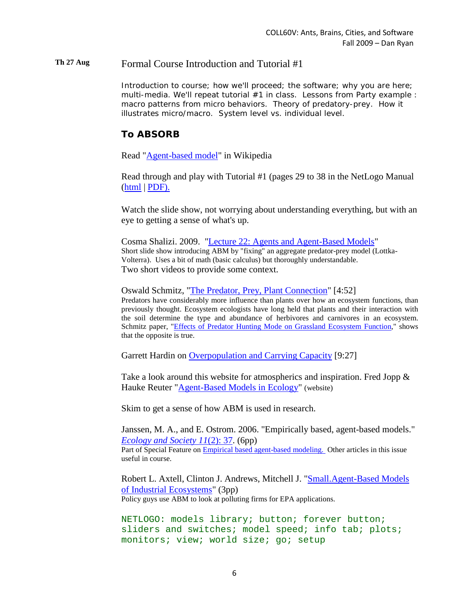#### **Th 27 Aug** Formal Course Introduction and Tutorial #1

Introduction to course; how we'll proceed; the software; why you are here; multi-media. We'll repeat tutorial  $#1$  in class. Lessons from Party example : macro patterns from micro behaviors. Theory of predatory-prey. How it illustrates micro/macro. System level vs. individual level.

## **To ABSORB**

Read ["Agent-based model"](http://en.wikipedia.org/wiki/Agent-based_model) in Wikipedia

Read through and play with Tutorial #1 (pages 29 to 38 in the NetLogo Manual [\(html](http://ccl.northwestern.edu/netlogo/docs/tutorial1.html) | [PDF\).](http://ccl.northwestern.edu/netlogo/docs/NetLogo%20User%20Manual.pdf#page=53)

Watch the slide show, not worrying about understanding everything, but with an eye to getting a sense of what's up.

Cosma Shalizi. 2009. ["Lecture 22: Agents and Agent-Based Models"](http://www.stat.cmu.edu/~cshalizi/462/lectures/22/22.pdf) Short slide show introducing ABM by "fixing" an aggregate predator-prey model (Lottka-Volterra). Uses a bit of math (basic calculus) but thoroughly understandable. Two short videos to provide some context.

Oswald Schmitz, ["The Predator, Prey, Plant Connection"](http://www.youtube.com/watch?v=LEx-R6-_XF4) [4:52] Predators have considerably more influence than plants over how an ecosystem functions, than previously thought. Ecosystem ecologists have long held that plants and their interaction with the soil determine the type and abundance of herbivores and carnivores in an ecosystem. Schmitz paper, ["Effects of Predator Hunting Mode on Grassland Ecosystem Function,](http://www.sciencemag.org/cgi/content/abstract/319/5865/952)" shows that the opposite is true.

Garrett Hardin on [Overpopulation and Carrying Capacity](http://www.youtube.com/watch?v=MyD4xRQo05s) [9:27]

Take a look around this website for atmospherics and inspiration. Fred Jopp  $\&$ Hauke Reuter ["Agent-Based Models in Ecology"](http://www.abm-ecology.org/) (website)

Skim to get a sense of how ABM is used in research.

Janssen, M. A., and E. Ostrom. 2006. "Empirically based, agent-based models." *[Ecology and Society 11](http://www.ecologyandsociety.org/vol11/iss2/art37/)*(2): 37. (6pp) Part of Special Feature on [Empirical based agent-based modeling.](http://www.ecologyandsociety.org/viewissue.php?sf=25) Other articles in this issue useful in course.

Robert L. Axtell, Clinton J. Andrews, Mitchell J. ["Small.Agent-Based Models](http://policy.rutgers.edu/andrews/projects/abm/abmarticle.htm)  [of Industrial Ecosystems"](http://policy.rutgers.edu/andrews/projects/abm/abmarticle.htm) (3pp) Policy guys use ABM to look at polluting firms for EPA applications.

NETLOGO: models library; button; forever button; sliders and switches; model speed; info tab; plots; monitors; view; world size; go; setup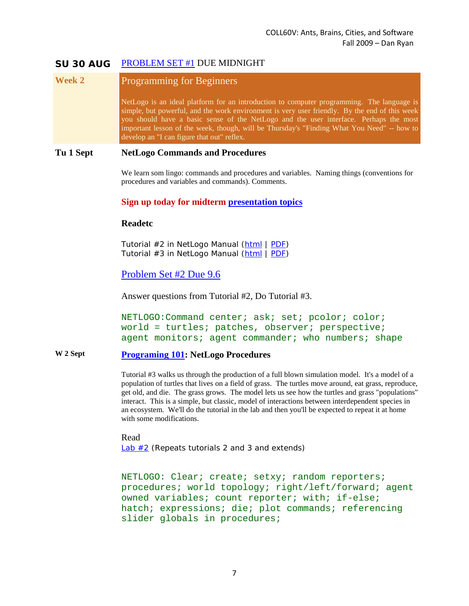### **SU 30 AUG** [PROBLEM SET #1](http://courses.djjr.net/coll60v/assignments/Mills-Ryan-COLL60V-2009-Problemsets.html#01) DUE MIDNIGHT

## **Week 2** Programming for Beginners

NetLogo is an ideal platform for an introduction to computer programming. The language is simple, but powerful, and the work environment is very user friendly. By the end of this week you should have a basic sense of the NetLogo and the user interface. Perhaps the most important lesson of the week, though, will be Thursday's "Finding What You Need" -- how to develop an "I can figure that out" reflex.

#### **Tu 1 Sept NetLogo Commands and Procedures**

We learn som lingo: commands and procedures and variables. Naming things (conventions for procedures and variables and commands). Comments.

#### **Sign up today for midterm [presentation topics](http://courses.djjr.net/coll60v/assignments/Mills-Ryan-COLL60V-2009-Projects.html)**

#### **Readetc**

Tutorial #2 in NetLogo Manual [\(html](http://ccl.northwestern.edu/netlogo/docs/tutorial1.html) | [PDF\)](http://ccl.northwestern.edu/netlogo/models/TrafficBasic) Tutorial #3 in NetLogo Manual [\(html](http://ccl.northwestern.edu/netlogo/docs/tutorial2.html) | [PDF\)](http://ccl.northwestern.edu/netlogo/docs/NetLogo%20User%20Manual.pdf#page=73)

## [Problem Set #2 Due 9.6](http://courses.djjr.net/coll60v/assignments/Mills-Ryan-COLL60V-2009-Problemsets.html#02)

Answer questions from Tutorial #2, Do Tutorial #3.

NETLOGO:Command center; ask; set; pcolor; color; world = turtles; patches, observer; perspective; agent monitors; agent commander; who numbers; shape

#### **W 2 Sept [Programing 101:](http://courses.djjr.net/coll60v/lectures/programming101.html) NetLogo Procedures**

Tutorial #3 walks us through the production of a full blown simulation model. It's a model of a population of turtles that lives on a field of grass. The turtles move around, eat grass, reproduce, get old, and die. The grass grows. The model lets us see how the turtles and grass "populations" interact. This is a simple, but classic, model of interactions between interdependent species in an ecosystem. We'll do the tutorial in the lab and then you'll be expected to repeat it at home with some modifications.

Read Lab  $#2$  (Repeats tutorials 2 and 3 and extends)

NETLOGO: Clear; create; setxy; random reporters; procedures; world topology; right/left/forward; agent owned variables; count reporter; with; if-else; hatch; expressions; die; plot commands; referencing slider globals in procedures;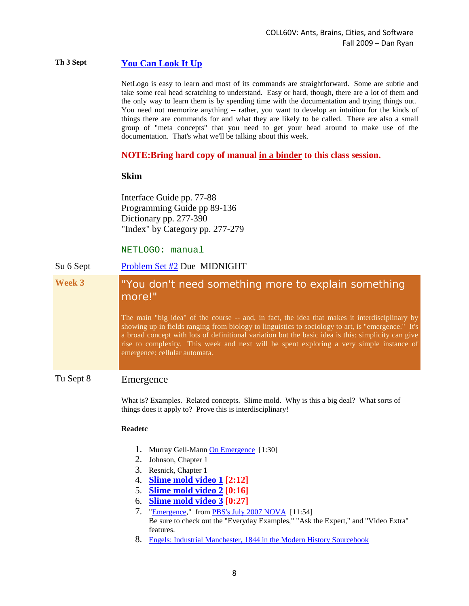### **Th 3 Sept [You Can Look It Up](http://courses.djjr.net/coll60v/lectures/You-can-look-it-up.html)**

NetLogo is easy to learn and most of its commands are straightforward. Some are subtle and take some real head scratching to understand. Easy or hard, though, there are a lot of them and the only way to learn them is by spending time with the documentation and trying things out. You need not memorize anything -- rather, you want to develop an intuition for the kinds of things there are commands for and what they are likely to be called. There are also a small group of "meta concepts" that you need to get your head around to make use of the documentation. That's what we'll be talking about this week.

#### **NOTE:Bring hard copy of manual in a binder to this class session.**

#### **Skim**

Interface Guide pp. 77-88 Programming Guide pp 89-136 Dictionary pp. 277-390 "Index" by Category pp. 277-279

#### NETLOGO: manual

## Su 6 Sept [Problem Set #2](http://courses.djjr.net/coll60v/assignments/Mills-Ryan-COLL60V-2009-Problemsets.html#02) Due MIDNIGHT **Week 3** "You don't need something more to explain something more!" The main "big idea" of the course -- and, in fact, the idea that makes it interdisciplinary by showing up in fields ranging from biology to linguistics to sociology to art, is "emergence." It's a broad concept with lots of definitional variation but the basic idea is this: simplicity can give rise to complexity. This week and next will be spent exploring a very simple instance of emergence: cellular automata.

## Tu Sept 8 Emergence

What is? Examples. Related concepts. Slime mold. Why is this a big deal? What sorts of things does it apply to? Prove this is interdisciplinary!

#### **Readetc**

- 1. Murray Gell-Mann [On Emergence](http://www.youtube.com/watch?v=ONiWmzrmfuY) [1:30]
- 2. Johnson, Chapter 1
- 3. Resnick, Chapter 1
- 4. **[Slime mold video 1](http://www.youtube.com/watch?v=GScyw3ammmk) [2:12]**
- 5. **[Slime mold video 2](http://www.youtube.com/watch?v=9pNGhW9BiZE) [0:16]**
- 6. **[Slime mold video 3](http://www.youtube.com/watch?v=hpHpBHJZQvU) [0:27]**
- 7. ["Emergence,"](http://www.pbs.org/wgbh/nova/sciencenow/3410/03.html) from [PBS's July 2007 NOVA](http://www.pbs.org/wgbh/nova/sciencenow/3410/03.html) [11:54] Be sure to check out the "Everyday Examples," "Ask the Expert," and "Video Extra" features.
- 8. [Engels: Industrial Manchester, 1844 in the Modern History Sourcebook](http://www.fordham.edu/halsall/mod/1844engels.html)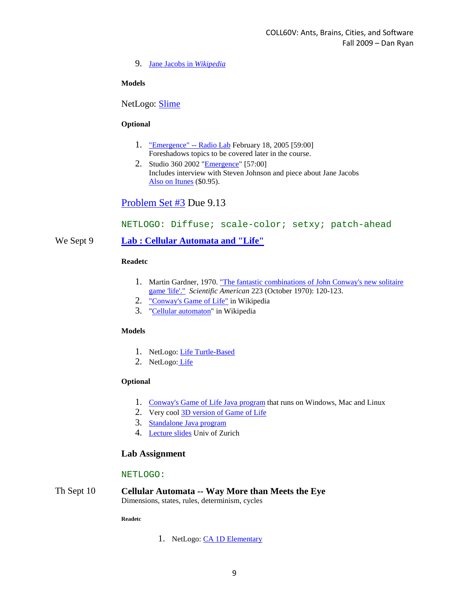#### 9. [Jane Jacobs in](http://en.wikipedia.org/wiki/Jane_Jacobs) *Wikipedia*

#### **Models**

NetLogo: [Slime](http://ccl.northwestern.edu/netlogo/models/Slime)

#### **Optional**

- 1. ["Emergence" --](http://www.wnyc.org/shows/radiolab/episodes/2005/02/18) Radio Lab February 18, 2005 [59:00] Foreshadows topics to be covered later in the course.
- 2. Studio 360 2002 ["Emergence"](http://www.studio360.org/yore/show012602.html) [57:00] Includes interview with Steven Johnson and piece about Jane Jacobs [Also on Itunes](http://itunes.apple.com/WebObjects/MZStore.woa/wa/viewAudiobook?id=2836305&s=143441) (\$0.95).

## [Problem Set #3](http://courses.djjr.net/coll60v/assignments/Mills-Ryan-COLL60V-2009-Problemsets.html#03) Due 9.13

#### NETLOGO: Diffuse; scale-color; setxy; patch-ahead

#### We Sept 9 **[Lab : Cellular Automata and "Life"](http://courses.djjr.net/coll60v/labs/coll60v-lab03-cellular-automata-2009.html)**

#### **Readetc**

- 1. Martin Gardner, 1970. ["The fantastic combinations of John Conway's new solitaire](http://ddi.cs.uni-potsdam.de/HyFISCH/Produzieren/lis_projekt/proj_gamelife/ConwayScientificAmerican.htm)  [game 'life'."](http://ddi.cs.uni-potsdam.de/HyFISCH/Produzieren/lis_projekt/proj_gamelife/ConwayScientificAmerican.htm) *Scientific American* 223 (October 1970): 120-123.
- 2. ["Conway's Game of Life"](http://en.wikipedia.org/wiki/Conway%27s_Game_of_Life) in Wikipedia
- 3. ["Cellular automaton"](http://en.wikipedia.org/wiki/Cellular_automata) in Wikipedia

#### **Models**

- 1. NetLogo: [Life Turtle-Based](http://ccl.northwestern.edu/netlogo/models/LifeTurtle-Based)
- 2. NetLogo: [Life](http://ccl.northwestern.edu/netlogo/models/Life)

#### **Optional**

- 1. [Conway's Game of Life Java program](http://www.bitstorm.org/gameoflife/) that runs on Windows, Mac and Linux
- 2. Very cool [3D version of Game of Life](http://www.ibiblio.org/e-notes/Life/Game.htm)
- 3. [Standalone Java program](http://www.bitstorm.org/gameoflife/standalone/)
- 4. [Lecture slides](http://www.ifi.uzh.ch/ailab/teaching/AL08/slides/day2/Lecture4.pdf) Univ of Zurich

#### **Lab Assignment**

#### NETLOGO:

Th Sept 10 **Cellular Automata -- Way More than Meets the Eye** Dimensions, states, rules, determinism, cycles

**Readetc**

1. NetLogo: [CA 1D Elementary](http://ccl.northwestern.edu/netlogo/models/CA1DElementary)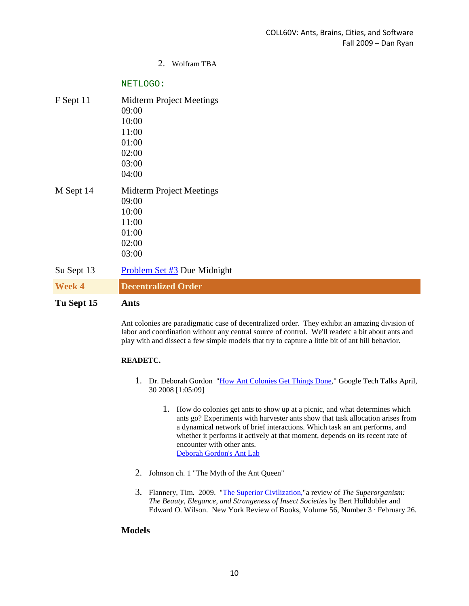#### 2. Wolfram TBA

#### NETLOGO:

| F Sept 11     | Midterm Project Meetings        |
|---------------|---------------------------------|
|               | 09:00                           |
|               | 10:00                           |
|               | 11:00                           |
|               | 01:00                           |
|               | 02:00                           |
|               | 03:00                           |
|               | 04:00                           |
| M Sept 14     | <b>Midterm Project Meetings</b> |
|               | 09:00                           |
|               | 10:00                           |
|               | 11:00                           |
|               | 01:00                           |
|               | 02:00                           |
|               | 03:00                           |
| Su Sept 13    | Problem Set #3 Due Midnight     |
| <b>Week 4</b> | <b>Decentralized Order</b>      |

**Tu Sept 15 Ants**

Ant colonies are paradigmatic case of decentralized order. They exhibit an amazing division of labor and coordination without any central source of control. We'll readetc a bit about ants and play with and dissect a few simple models that try to capture a little bit of ant hill behavior.

#### **READETC.**

- 1. Dr. Deborah Gordon ["How Ant Colonies Get Things Done,](http://www.youtube.com/watch?v=R07_JFfnFnY)" Google Tech Talks April, 30 2008 [1:05:09]
	- 1. How do colonies get ants to show up at a picnic, and what determines which ants go? Experiments with harvester ants show that task allocation arises from a dynamical network of brief interactions. Which task an ant performs, and whether it performs it actively at that moment, depends on its recent rate of encounter with other ants. [Deborah Gordon's Ant Lab](http://www.stanford.edu/~dmgordon/)
- 2. Johnson ch. 1 "The Myth of the Ant Queen"
- 3. Flannery, Tim. 2009. ["The Superior Civilization,"](http://www.nybooks.com/articles/22356)a review of *The Superorganism: The Beauty, Elegance, and Strangeness of Insect Societies* by Bert Hölldobler and Edward O. Wilson. New York Review of Books, Volume 56, Number 3 · February 26.

#### **Models**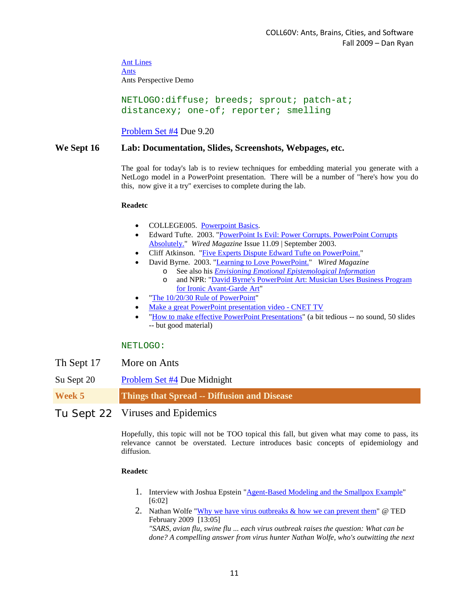[Ant Lines](http://ccl.northwestern.edu/netlogo/models/AntLines) [Ants](http://ccl.northwestern.edu/netlogo/models/Ants) Ants Perspective Demo

NETLOGO:diffuse; breeds; sprout; patch-at; distancexy; one-of; reporter; smelling

[Problem Set #4](http://courses.djjr.net/coll60v/assignments/problem-set-04.html) Due 9.20

#### **We Sept 16 Lab: Documentation, Slides, Screenshots, Webpages, etc.**

The goal for today's lab is to review techniques for embedding material you generate with a NetLogo model in a PowerPoint presentation. There will be a number of "here's how you do this, now give it a try" exercises to complete during the lab.

#### **Readetc**

- COLLEGE005. [Powerpoint Basics.](http://office.microsoft.com/training/training.aspx?AssetID=RC101865831033)
- Edward Tufte. 2003. "PowerPoint Is Evil: Power Corrupts. PowerPoint Corrupts [Absolutely."](http://www.wired.com/wired/archive/11.09/ppt2.html) *Wired Magazine* Issue 11.09 | September 2003.
- Cliff Atkinson. ["Five Experts Dispute Edward Tufte on PowerPoint."](http://www.sociablemedia.com/articles_dispute.htm)
- David Byrne. 2003. ["Learning to Love PowerPoint."](http://www.wired.com/wired/archive/11.09/ppt1.html) *Wired Magazine*
	- o See also his *[Envisioning Emotional Epistemological Information](http://www.davidbyrne.com/art/eeei/index.php)*
		- o and NPR: ["David Byrne's PowerPoint Art: Musician Uses Business Program](http://www.npr.org/templates/story/story.php?storyId=1595838)  [for Ironic Avant-Garde Art"](http://www.npr.org/templates/story/story.php?storyId=1595838)
- ["The 10/20/30 Rule of PowerPoint"](http://blog.guykawasaki.com/2005/12/the_102030_rule.html#axzz0OBK91rG9)
- [Make a great PowerPoint presentation video -](http://cnettv.cnet.com/make-great-powerpoint-presentation/9742-1_53-50073191.html) CNET TV
- ["How to make effective PowerPoint Presentations"](http://www.slideworld.com/slideshow.aspx/How-to-make-effective-PowerPoint-Presentations-ppt-2764909) (a bit tedious -- no sound, 50 slides -- but good material)

#### NETLOGO:

- Th Sept 17 More on Ants
- Su Sept 20 [Problem Set #4](http://courses.djjr.net/coll60v/assignments/problem-set-04.html) Due Midnight

**Week 5 Things that Spread -- Diffusion and Disease**

#### Tu Sept 22 Viruses and Epidemics

Hopefully, this topic will not be TOO topical this fall, but given what may come to pass, its relevance cannot be overstated. Lecture introduces basic concepts of epidemiology and diffusion.

#### **Readetc**

- 1. Interview with Joshua Epstein ["Agent-Based Modeling and the Smallpox Example"](http://www.youtube.com/watch?v=rl97WVedBSA) [6:02]
- 2. Nathan Wolfe ["Why we have virus outbreaks & how we can prevent them"](http://www.youtube.com/watch?v=mMEPV-NTeZs) @ TED February 2009 [13:05] *"SARS, avian flu, swine flu ... each virus outbreak raises the question: What can be*

*done? A compelling answer from virus hunter Nathan Wolfe, who's outwitting the next*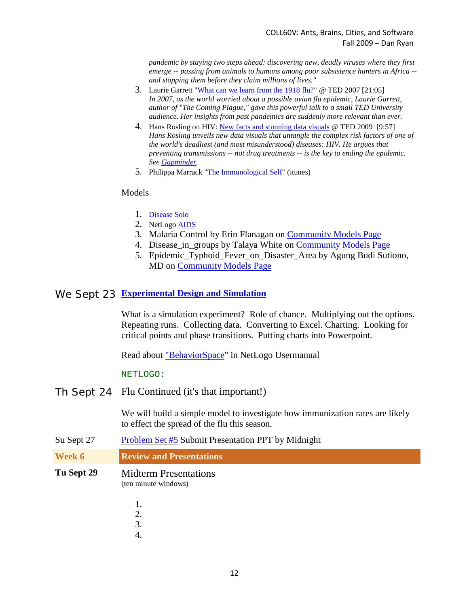*pandemic by staying two steps ahead: discovering new, deadly viruses where they first emerge -- passing from animals to humans among poor subsistence hunters in Africa - and stopping them before they claim millions of lives."*

- 3. Laurie Garrett ["What can we learn from the 1918 flu?"](http://www.youtube.com/watch?v=2lJvr5UL2pQ) @ TED 2007 [21:05] *In 2007, as the world worried about a possible avian flu epidemic, Laurie Garrett, author of "The Coming Plague," gave this powerful talk to a small TED University audience. Her insights from past pandemics are suddenly more relevant than ever.*
- 4. Hans Rosling on HIV: [New facts and stunning data visuals](http://www.youtube.com/watch?v=3qRtDnsnSwk) @ TED 2009 [9:57] *Hans Rosling unveils new data visuals that untangle the complex risk factors of one of the world's deadliest (and most misunderstood) diseases: HIV. He argues that preventing transmissions -- not drug treatments -- is the key to ending the epidemic. See [Gapminder.](http://www.gapminder.org/)*
- 5. Philippa Marrack ["The Immunological Self"](http://deimos3.apple.com/WebObjects/Core.woa/Browse/cam-ac-uk-public.1909469167.01916735025.1916508221?i=1156904992) (itunes)

#### Models

- 1. [Disease Solo](http://ccl.northwestern.edu/netlogo/models/DiseaseSolo)
- 2. NetLogo [AIDS](http://ccl.northwestern.edu/netlogo/models/AIDS)
- 3. Malaria Control by Erin Flanagan on [Community Models Page](http://ccl.northwestern.edu/netlogo/models/community/)
- 4. Disease in groups by Talaya White on [Community Models Page](http://ccl.northwestern.edu/netlogo/models/community/)
- 5. Epidemic\_Typhoid\_Fever\_on\_Disaster\_Area by Agung Budi Sutiono, MD on [Community Models Page](http://ccl.northwestern.edu/netlogo/models/community/)

### We Sept 23 **[Experimental Design and Simulation](http://courses.djjr.net/coll60v/labs/lab-05.html)**

What is a simulation experiment? Role of chance. Multiplying out the options. Repeating runs. Collecting data. Converting to Excel. Charting. Looking for critical points and phase transitions. Putting charts into Powerpoint.

Read about ["BehaviorSpace"](http://ccl.northwestern.edu/netlogo/docs/behaviorspace.html) in NetLogo Usermanual

#### NETLOGO:

Th Sept 24 Flu Continued (it's that important!)

We will build a simple model to investigate how immunization rates are likely to effect the spread of the flu this season.

- Su Sept 27 [Problem Set #5](http://courses.djjr.net/coll60v/assignments/problem-set-05.html) Submit Presentation PPT by Midnight
- **Week 6 Review and Presentations**
- **Tu Sept 29** Midterm Presentations (ten minute windows)
	- 1.
	- 2.
	- 3.
	- 4.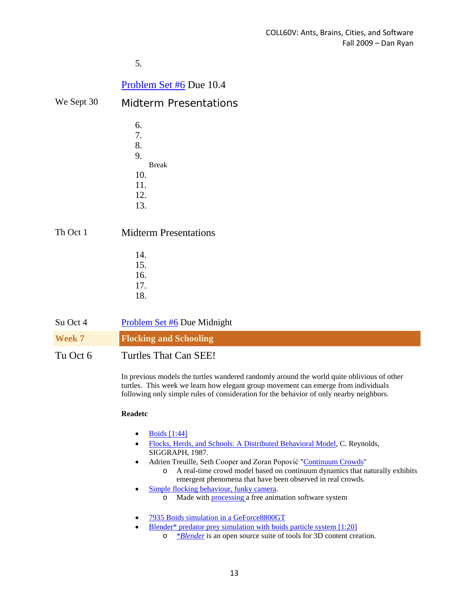5.

## [Problem Set #6](http://courses.djjr.net/coll60v/assignments/Mills-Ryan-COLL60V-2009-Problemsets.html#06) Due 10.4

- We Sept 30 Midterm Presentations
	- 6. 7. 8. 9. Break 10. 11. 12. 13.

Th Oct 1 Midterm Presentations

| 14. |  |
|-----|--|
| 15. |  |
| 16. |  |
| 17. |  |
| 18. |  |

| Su Oct 4      | Problem Set #6 Due Midnight   |
|---------------|-------------------------------|
| <b>Week 7</b> | <b>Flocking and Schooling</b> |
| Tu Oct 6      | Turtles That Can SEE!         |

In previous models the turtles wandered randomly around the world quite oblivious of other turtles. This week we learn how elegant group movement can emerge from individuals following only simple rules of consideration for the behavior of only nearby neighbors.

#### **Readetc**

- $\bullet$  [Boids \[1:44\]](http://www.youtube.com/watch?v=dtSxwexF5B0)
- [Flocks, Herds, and Schools: A Distributed Behavioral Model,](http://www.cs.toronto.edu/~dt/siggraph97-course/cwr87/) C. Reynolds, SIGGRAPH, 1987.
- Adrien Treuille, Seth Cooper and Zoran Popović "[Continuum Crowds"](http://www.youtube.com/watch?v=lGOvYyJ6r1c)
	- o A real-time crowd model based on continuum dynamics that naturally exhibits emergent phenomena that have been observed in real crowds.
- [Simple flocking behaviour, funky camera.](http://processing.org/discourse/yabb_beta/YaBB.cgi?board=Syntax;action=display;num=1193175897)
	- o Made with [processing a](http://www.processing.org/) free animation software syste[m](http://www.processing.org/)
- [7935 Boids simulation in a GeForce8800GT](http://www.youtube.com/watch?v=S1SzjsP34PE)
	- Blender<sup>\*</sup> predator prey simulation with boids particle system [1:20]
		- o [\\*](http://www.youtube.com/watch?v=rN8DzlgMt3M)*[Blender](http://www.youtube.com/watch?v=rN8DzlgMt3M)* is an open source suite of tools for 3D content creation.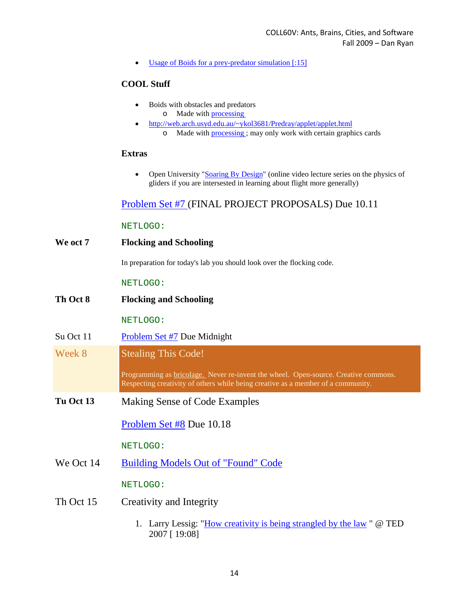• [Usage of Boids for a prey-predator simulation \[:15\]](http://www.youtube.com/watch?v=UQvba3lPeJM)

#### **COOL Stuff**

- Boids with obstacles and predators o Made with [processing](http://www.processing.org/)
- <http://web.arch.usyd.edu.au/~ykol3681/Predray/applet/applet.html> o Made with [processing ;](http://www.processing.org/) may only work with certain graphics cards

#### **Extras**

• Open University ["Soaring By Design"](http://deimos3.apple.com/WebObjects/Core.woa/Browse/itunes.open.ac.uk.2116242547.02113595553) (online video lecture series on the physics of gliders if you are intersested in learning about flight more generally)

## [Problem Set #7 \(](http://courses.djjr.net/coll60v/assignments/Mills-Ryan-COLL60V-2009-Problemsets.htm#07l)FINAL PROJECT PROPOSALS) Due 10.11

#### NETLOGO:

**We oct 7 Flocking and Schooling**

In preparation for today's lab you should look over the flocking code.

#### NETLOGO:

**Th Oct 8 Flocking and Schooling**

NETLOGO:

- Su Oct 11 [Problem Set #7](http://courses.djjr.net/coll60v/assignments/Mills-Ryan-COLL60V-2009-Problemsets.html#07) Due Midnight
- Week 8 Stealing This Code!

Programming as **bricolage.** Never re-invent the wheel. Open-source. Creative commons. Respecting creativity of others while being creative as a member of a community.

**Tu Oct 13** Making Sense of Code Examples

[Problem Set #8](http://courses.djjr.net/coll60v/assignments/Mills-Ryan-COLL60V-2009-Problemsets.html#08) Due 10.18

NETLOGO:

We Oct 14 [Building Models Out of "Found" Code](http://courses.djjr.net/coll60v/assignments/Mills-Ryan-COLL60V-2009-Problemsets.html#08)

NETLOGO:

- Th Oct 15 Creativity and Integrity
	- 1. Larry Lessig: ["How creativity is being strangled by the law](http://www.youtube.com/watch?v=7Q25-S7jzgs) " @ TED 2007 [ 19:08]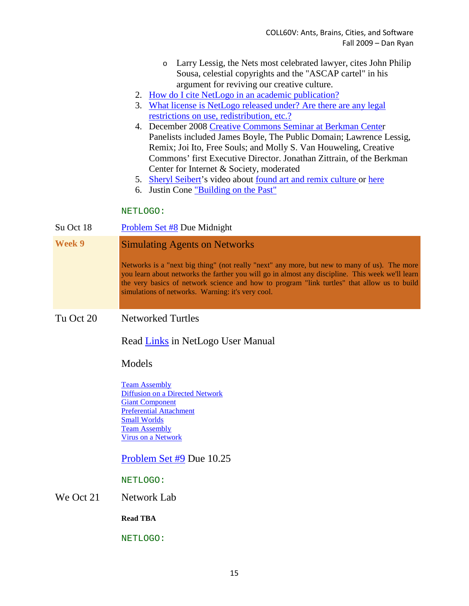- o Larry Lessig, the Nets most celebrated lawyer, cites John Philip Sousa, celestial copyrights and the "ASCAP cartel" in his argument for reviving our creative culture.
- 2. [How do I cite NetLogo in an academic publication?](http://ccl.northwestern.edu/netlogo/docs/faq.html#cite)
- 3. [What license is NetLogo released under? Are there are any legal](http://ccl.northwestern.edu/netlogo/docs/faq.html#license)  [restrictions on use, redistribution, etc.?](http://ccl.northwestern.edu/netlogo/docs/faq.html#license)
- 4. December 2008 [Creative Commons Seminar at Berkman Center](http://creativecommons.org/videos/berkman-panel) Panelists included James Boyle, The Public Domain; Lawrence Lessig, Remix; Joi Ito, Free Souls; and Molly S. Van Houweling, Creative Commons' first Executive Director. Jonathan Zittrain, of the Berkman Center for Internet & Society, moderated
- 5. [Sheryl Seibert'](http://www.rightbrainemporium.com/)s video about [found art and remix culture o](http://creativecommons.org/videos/mix-tape)r [here](http://citizenshift.org/node/968&term_tid=81161)
- 6. Justin Cone ["Building on the Past"](http://creativecommons.org/videos/building-on-the-past)

#### NETLOGO:

Su Oct 18 [Problem Set #8](http://courses.djjr.net/coll60v/assignments/Mills-Ryan-COLL60V-2009-Problemsets.html#08) Due Midnight

## **Week 9** Simulating Agents on Networks

Networks is a "next big thing" (not really "next" any more, but new to many of us). The more you learn about networks the farther you will go in almost any discipline. This week we'll learn the very basics of network science and how to program "link turtles" that allow us to build simulations of networks. Warning: it's very cool.

#### Tu Oct 20 Networked Turtles

Read [Links](http://ccl.northwestern.edu/netlogo/docs/programming.html#links) in NetLogo User Manual

#### Models

[Team Assembly](http://ccl.northwestern.edu/netlogo/models/TeamAssembly) [Diffusion on a Directed Network](http://ccl.northwestern.edu/netlogo/models/DiffusiononaDirectedNetwork) [Giant Component](http://ccl.northwestern.edu/netlogo/models/GiantComponent) [Preferential Attachment](http://ccl.northwestern.edu/netlogo/models/PreferentialAttachment) [Small Worlds](http://ccl.northwestern.edu/netlogo/models/SmallWorlds) [Team Assembly](http://ccl.northwestern.edu/netlogo/models/TeamAssembly) [Virus on a Network](http://ccl.northwestern.edu/netlogo/models/VirusonaNetwork)

#### [Problem Set #9](http://courses.djjr.net/coll60v/assignments/Mills-Ryan-COLL60V-2009-Problemsets.html#09) Due 10.25

NETLOGO:

#### We Oct 21 Network Lab

**Read TBA**

#### NETLOGO: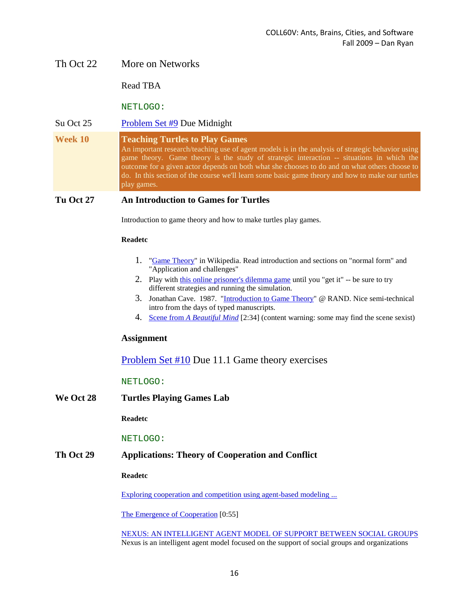#### Th Oct 22 More on Networks

Read TBA

NETLOGO:

#### Su Oct 25 [Problem Set #9](http://courses.djjr.net/coll60v/assignments/Mills-Ryan-COLL60V-2009-Problemsets.html#09) Due Midnight

**Week 10 Teaching Turtles to Play Games** An important research/teaching use of agent models is in the analysis of strategic behavior using game theory. Game theory is the study of strategic interaction -- situations in which the outcome for a given actor depends on both what she chooses to do and on what others choose to do. In this section of the course we'll learn some basic game theory and how to make our turtles play games.

#### **Tu Oct 27 An Introduction to Games for Turtles**

Introduction to game theory and how to make turtles play games.

#### **Readetc**

- 1. ["Game Theory"](http://en.wikipedia.org/wiki/Game_theory) in Wikipedia. Read introduction and sections on "normal form" and "Application and challenges"
- 2. Play with [this online prisoner's dilemma game](http://www.iterated-prisoners-dilemma.net/) until you "get it" -- be sure to try different strategies and running the simulation.
- 3. Jonathan Cave. 1987. ["Introduction to Game Theory"](http://www.rand.org/pubs/papers/2008/P7336.pdf) @ RAND. Nice semi-technical intro from the days of typed manuscripts.
- 4. Scene from *[A Beautiful Mind](http://www.youtube.com/watch?v=l0ywiYboCLk)* [2:34] (content warning: some may find the scene sexist)

#### **Assignment**

[Problem Set #10](http://courses.djjr.net/coll60v/assignments/Mills-Ryan-COLL60V-2009-Problemsets.html#10) Due 11.1 Game theory exercises

#### NETLOGO:

**We Oct 28 Turtles Playing Games Lab**

**Readetc**

#### NETLOGO:

#### **Th Oct 29 Applications: Theory of Cooperation and Conflict**

**Readetc**

[Exploring cooperation and competition using agent-based modeling ...](http://www.pnas.org/content/99/suppl.3/7193.full)

[The Emergence of Cooperation](http://www.youtube.com/watch?v=zhTnlxhq0Tc) [0:55]

[NEXUS: AN INTELLIGENT AGENT MODEL OF SUPPORT BETWEEN SOCIAL GROUPS](http://www.agent2005.anl.gov/2007pdf/Paper%2020%20--%20NexusAgent2007revised.pdf) Nexus is an intelligent agent model focused on the support of social groups and organizations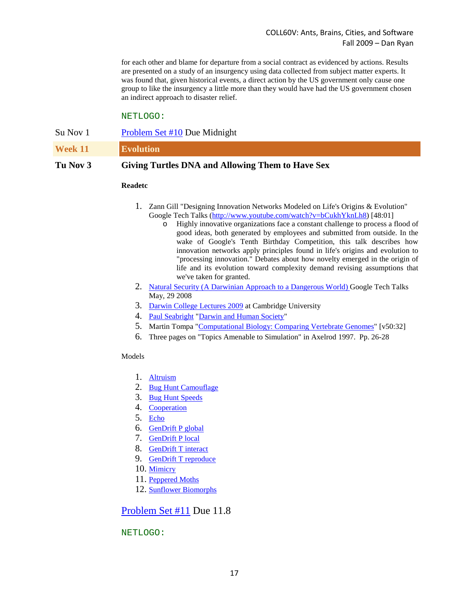for each other and blame for departure from a social contract as evidenced by actions. Results are presented on a study of an insurgency using data collected from subject matter experts. It was found that, given historical events, a direct action by the US government only cause one group to like the insurgency a little more than they would have had the US government chosen an indirect approach to disaster relief.

#### NETLOGO:

| Tu Nov 3 | Giving Turtles DNA and Allowing Them to Have Sex |
|----------|--------------------------------------------------|
| Week 11  | <b>Evolution</b>                                 |
| Su Nov 1 | Problem Set #10 Due Midnight                     |

#### **Readetc**

- 1. Zann Gill "Designing Innovation Networks Modeled on Life's Origins & Evolution" Google Tech Talks [\(http://www.youtube.com/watch?v=bCukhYknLh8\)](http://www.youtube.com/watch?v=bCukhYknLh8) [48:01]
	- o Highly innovative organizations face a constant challenge to process a flood of good ideas, both generated by employees and submitted from outside. In the wake of Google's Tenth Birthday Competition, this talk describes how innovation networks apply principles found in life's origins and evolution to "processing innovation." Debates about how novelty emerged in the origin of life and its evolution toward complexity demand revising assumptions that we've taken for granted.
- 2. [Natural Security \(A Darwinian Approach to a Dangerous World\)](http://www.youtube.com/watch?v=job2avPAbgU) Google Tech Talks May, 29 2008
- 3. [Darwin College Lectures 2009](http://www.800.cam.ac.uk/page/32/darwin-2009-.htm?itunes) at Cambridge University
- 4. [Paul Seabright](http://en.wikipedia.org/wiki/Paul_Seabright) ["Darwin and Human Society"](http://deimos3.apple.com/WebObjects/Core.woa/Browse/cam-ac-uk-public.1909469167.01909469174.1939516262?i=1320632757)
- 5. Martin Tompa ["Computational Biology: Comparing Vertebrate Genomes"](http://deimos3.apple.com/WebObjects/Core.woa/Browse/researchchannel.org.1417513585.01415708553.1421354378?i=1291308988) [v50:32]
- 6. Three pages on "Topics Amenable to Simulation" in Axelrod 1997. Pp. 26-28

#### Models

- 1. [Altruism](http://ccl.northwestern.edu/netlogo/models/Altruism)
- 2. [Bug Hunt Camouflage](http://ccl.northwestern.edu/netlogo/models/BugHuntCamouflage)
- 3. [Bug Hunt Speeds](http://ccl.northwestern.edu/netlogo/models/BugHuntSpeeds)
- 4. [Cooperation](http://ccl.northwestern.edu/netlogo/models/Cooperation)
- 5. [Echo](http://ccl.northwestern.edu/netlogo/models/Echo)
- 6. [GenDrift P global](http://ccl.northwestern.edu/netlogo/models/GenDriftPglobal)
- 7. [GenDrift P local](http://ccl.northwestern.edu/netlogo/models/GenDriftPlocal)
- 8. [GenDrift T interact](http://ccl.northwestern.edu/netlogo/models/GenDriftTinteract)
- 9. [GenDrift T reproduce](http://ccl.northwestern.edu/netlogo/models/GenDriftTreproduce)
- 10. [Mimicry](http://ccl.northwestern.edu/netlogo/models/Mimicry)
- 11. [Peppered Moths](http://ccl.northwestern.edu/netlogo/models/PepperedMoths)
- 12. [Sunflower Biomorphs](http://ccl.northwestern.edu/netlogo/models/SunflowerBiomorphs)

#### [Problem Set #11](http://courses.djjr.net/coll60v/assignments/Mills-Ryan-COLL60V-2009-Problemsets.html#11) Due 11.8

#### NETLOGO: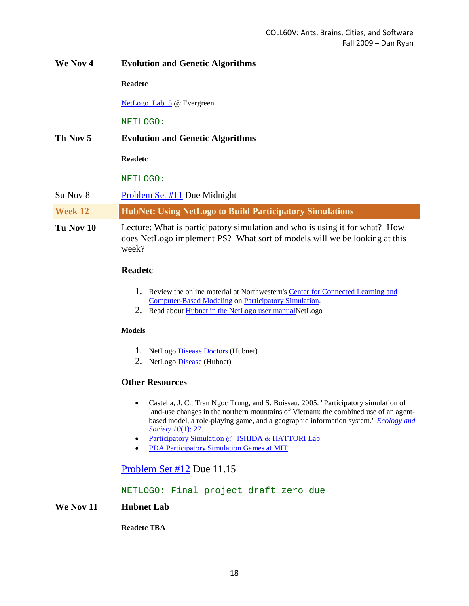| We Nov 4  | <b>Evolution and Genetic Algorithms</b>                                                                                                                           |
|-----------|-------------------------------------------------------------------------------------------------------------------------------------------------------------------|
|           | <b>Readetc</b>                                                                                                                                                    |
|           | NetLogo Lab 5 @ Evergreen                                                                                                                                         |
|           | NETLOGO:                                                                                                                                                          |
| Th Nov 5  | <b>Evolution and Genetic Algorithms</b>                                                                                                                           |
|           | <b>Readetc</b>                                                                                                                                                    |
|           | NETLOGO:                                                                                                                                                          |
| Su Nov 8  | Problem Set #11 Due Midnight                                                                                                                                      |
| Week 12   | <b>HubNet: Using NetLogo to Build Participatory Simulations</b>                                                                                                   |
| Tu Nov 10 | Lecture: What is participatory simulation and who is using it for what? How<br>does NetLogo implement PS? What sort of models will we be looking at this<br>week? |

#### **Readetc**

- 1. Review the online material at Northwestern's Center for Connected Learning and [Computer-Based Modeling](http://ccl.northwestern.edu/) o[n Participatory Simulation.](http://ccl.northwestern.edu/ps/ps.shtml)
- 2. Read about [Hubnet in the NetLogo user manualN](http://ccl.northwestern.edu/netlogo/docs/NetLogo%20User%20Manual.pdf#page=199)etLogo

#### **Models**

- 1. NetLogo [Disease Doctors](http://ccl.northwestern.edu/netlogo/models/CompHubNetDiseaseDoctors) (Hubnet)
- 2. NetLogo [Disease](http://ccl.northwestern.edu/netlogo/models/CompHubNetDisease) (Hubnet)

#### **Other Resources**

- Castella, J. C., Tran Ngoc Trung, and S. Boissau. 2005. "Participatory simulation of land-use changes in the northern mountains of Vietnam: the combined use of an agentbased model, a role-playing game, and a geographic information system." *[Ecology and](http://www.ecologyandsociety.org/vol10/iss1/art27/)  [Society 10](http://www.ecologyandsociety.org/vol10/iss1/art27/)*(1): 27.
- [Participatory Simulation @](http://www.ai.soc.i.kyoto-u.ac.jp/participatory_simulation.html) ISHIDA & HATTORI Lab
- [PDA Participatory Simulation Games at MIT](http://education.mit.edu/pda/games.htm)

## [Problem Set #12](http://courses.djjr.net/coll60v/assignments/Mills-Ryan-COLL60V-2009-Problemsets.html#12) Due 11.15

NETLOGO: Final project draft zero due

#### **We Nov 11 Hubnet Lab**

**Readetc TBA**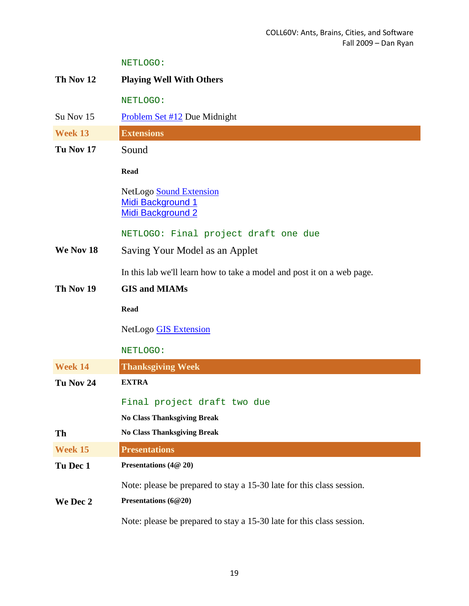NETLOGO:

| Th Nov 12 | <b>Playing Well With Others</b>                                                 |
|-----------|---------------------------------------------------------------------------------|
|           | NETLOGO:                                                                        |
| Su Nov 15 | <b>Problem Set #12 Due Midnight</b>                                             |
| Week 13   | <b>Extensions</b>                                                               |
| Tu Nov 17 | Sound                                                                           |
|           | <b>Read</b>                                                                     |
|           | NetLogo Sound Extension<br><b>Midi Background 1</b><br><b>Midi Background 2</b> |
|           | NETLOGO: Final project draft one due                                            |
| We Nov 18 | Saving Your Model as an Applet                                                  |
|           | In this lab we'll learn how to take a model and post it on a web page.          |
| Th Nov 19 | <b>GIS and MIAMs</b>                                                            |
|           | <b>Read</b>                                                                     |
|           | NetLogo GIS Extension                                                           |
|           | NETLOGO:                                                                        |
| Week 14   | <b>Thanksgiving Week</b>                                                        |
| Tu Nov 24 | <b>EXTRA</b>                                                                    |
|           | Final project draft two due                                                     |
|           | <b>No Class Thanksgiving Break</b>                                              |
| Th        | <b>No Class Thanksgiving Break</b>                                              |
| Week 15   | <b>Presentations</b>                                                            |
| Tu Dec 1  | Presentations (4@ 20)                                                           |
|           | Note: please be prepared to stay a 15-30 late for this class session.           |
| We Dec 2  | Presentations (6@20)                                                            |
|           | Note: please be prepared to stay a 15-30 late for this class session.           |

19